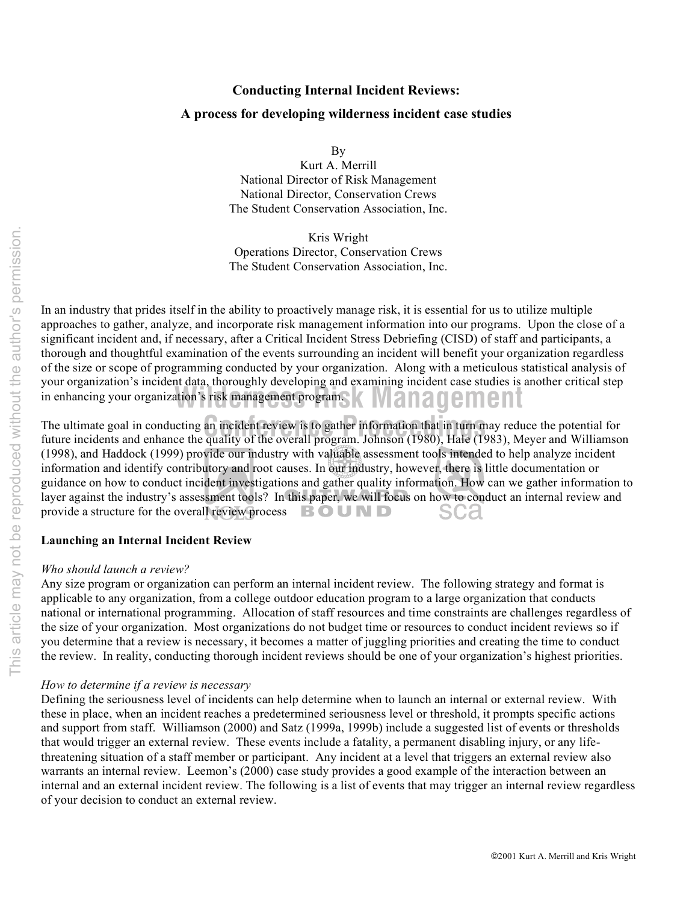# This article may not be reproduced without the author's permission. This article may not be reproduced without the author's permission.

# **Conducting Internal Incident Reviews: A process for developing wilderness incident case studies**

By

Kurt A. Merrill National Director of Risk Management National Director, Conservation Crews The Student Conservation Association, Inc.

Kris Wright Operations Director, Conservation Crews The Student Conservation Association, Inc.

in enhancing your organization's risk management program. In an industry that prides itself in the ability to proactively manage risk, it is essential for us to utilize multiple approaches to gather, analyze, and incorporate risk management information into our programs. Upon the close of a significant incident and, if necessary, after a Critical Incident Stress Debriefing (CISD) of staff and participants, a thorough and thoughtful examination of the events surrounding an incident will benefit your organization regardless of the size or scope of programming conducted by your organization. Along with a meticulous statistical analysis of your organization's incident data, thoroughly developing and examining incident case studies is another critical step

The ultimate goal in conducting an incident review is to gather information that in turn may reduce the potential for<br>future incidents and enhance the quality of the overall program Johnson (1980) Hale (1983) Meyer and Wil future incidents and enhance the quality of the overall program. Johnson (1980), Hale (1983), Meyer and Williamson (1998), and Haddock (1999) provide our industry with valuable assessment tools intended to help analyze incident information and identify contributory and root causes. In our industry, however, there is little documentation or guidance on how to conduct incident investigations and gather quality information. How can we gather information to layer against the industry's assessment tools? In this paper, we will focus on how to conduct an internal review and provide a structure for the overall review process  $\mathbf{B} \bullet \mathbf{U} \bullet \mathbf{D}$ sca

### **Launching an Internal Incident Review**

### *Who should launch a review?*

Any size program or organization can perform an internal incident review. The following strategy and format is applicable to any organization, from a college outdoor education program to a large organization that conducts national or international programming. Allocation of staff resources and time constraints are challenges regardless of the size of your organization. Most organizations do not budget time or resources to conduct incident reviews so if you determine that a review is necessary, it becomes a matter of juggling priorities and creating the time to conduct the review. In reality, conducting thorough incident reviews should be one of your organization's highest priorities.

### *How to determine if a review is necessary*

Defining the seriousness level of incidents can help determine when to launch an internal or external review. With these in place, when an incident reaches a predetermined seriousness level or threshold, it prompts specific actions and support from staff. Williamson (2000) and Satz (1999a, 1999b) include a suggested list of events or thresholds that would trigger an external review. These events include a fatality, a permanent disabling injury, or any lifethreatening situation of a staff member or participant. Any incident at a level that triggers an external review also warrants an internal review. Leemon's (2000) case study provides a good example of the interaction between an internal and an external incident review. The following is a list of events that may trigger an internal review regardless of your decision to conduct an external review.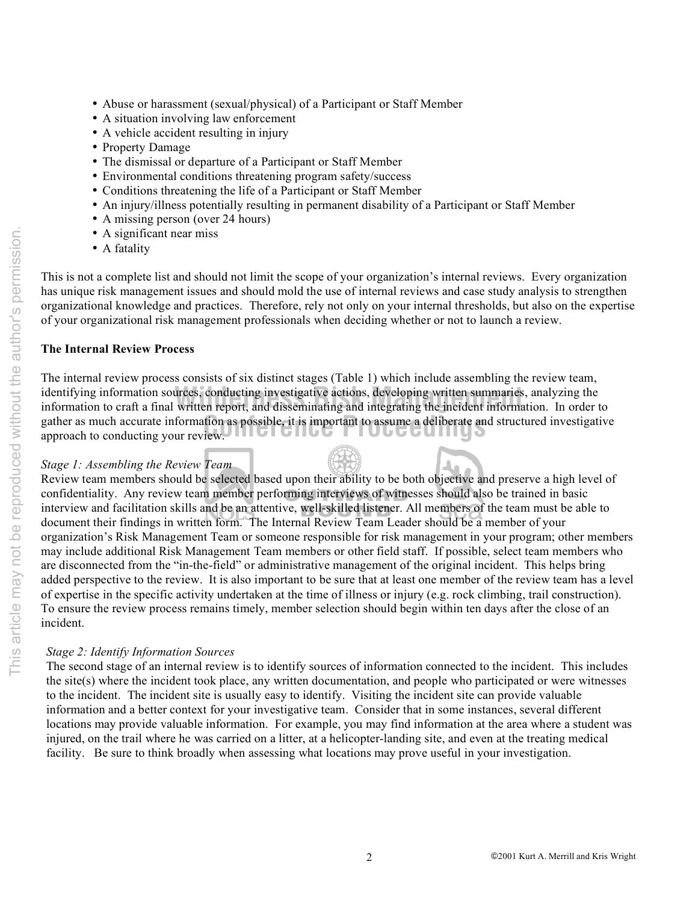- Abuse or harassment (sexual/physical) of a Participant or Staff Member
- A situation involving law enforcement
- A vehicle accident resulting in injury
- Property Damage
- The dismissal or departure of a Participant or Staff Member
- Environmental conditions threatening program safety/success
- Conditions threatening the life of a Participant or Staff Member
- An injury/illness potentially resulting in permanent disability of a Participant or Staff Member
- A missing person (over 24 hours)
- A significant near miss
- A fatality

This is not a complete list and should not limit the scope of your organization's internal reviews. Every organization has unique risk management issues and should mold the use of internal reviews and case study analysis to strengthen organizational knowledge and practices. Therefore, rely not only on your internal thresholds, but also on the expertise of your organizational risk management professionals when deciding whether or not to launch a review.

### **The Internal Review Process**

gather as much accurate information as possible, it is important to assume a deliberate and structured investigative approach to conducting your review. identifying information sources, conducting investigative actions, developing written summaries, analyzing the<br>information to craft a final written report, and disseminating and integrating the incident information. In ord The internal review process consists of six distinct stages (Table 1) which include assembling the review team, identifying information sources, conducting investigative actions, developing written summaries, analyzing the approach to conducting your review.

### *Stage 1: Assembling the Review Team*

Review team members should be selected based upon their ability to be both objective and preserve a high level of confidentiality. Any review team member performing interviews of witnesses should also be trained in basic interview and facilitation skills and be an attentive, well-skilled listener. All members of the team must be able to document their findings in written form. The Internal Review Team Leader should be a member of your organization's Risk Management Team or someone responsible for risk management in your program; other members may include additional Risk Management Team members or other field staff. If possible, select team members who are disconnected from the "in-the-field" or administrative management of the original incident. This helps bring added perspective to the review. It is also important to be sure that at least one member of the review team has a level of expertise in the specific activity undertaken at the time of illness or injury (e.g. rock climbing, trail construction). To ensure the review process remains timely, member selection should begin within ten days after the close of an incident.

**XK** 

### *Stage 2: Identify Information Sources*

The second stage of an internal review is to identify sources of information connected to the incident. This includes the site(s) where the incident took place, any written documentation, and people who participated or were witnesses to the incident. The incident site is usually easy to identify. Visiting the incident site can provide valuable information and a better context for your investigative team. Consider that in some instances, several different locations may provide valuable information. For example, you may find information at the area where a student was injured, on the trail where he was carried on a litter, at a helicopter-landing site, and even at the treating medical facility. Be sure to think broadly when assessing what locations may prove useful in your investigation.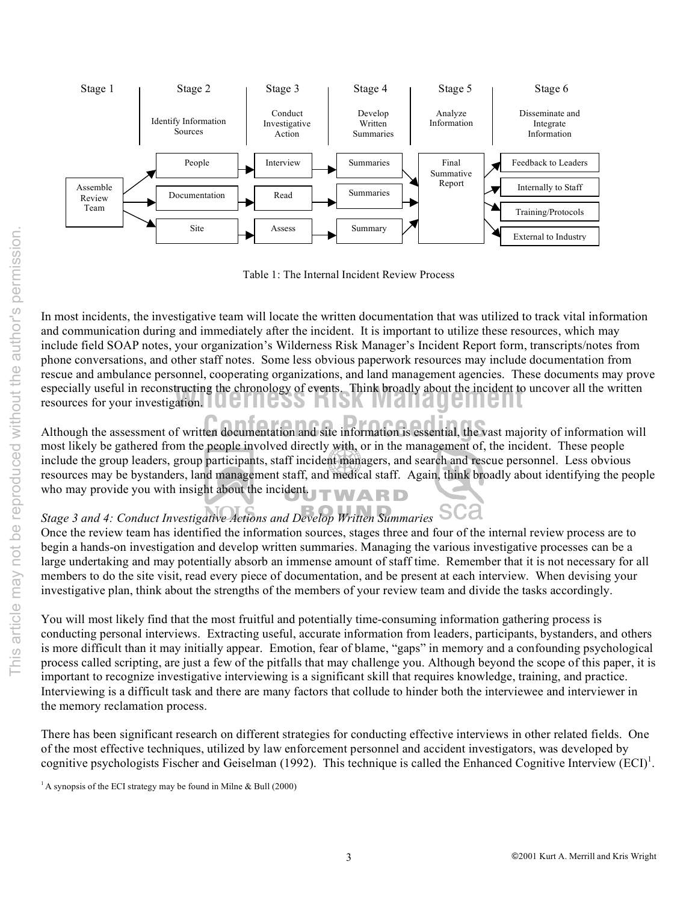

Table 1: The Internal Incident Review Process

especially useful in reconstructing the chronology of events. Think broadly about the incident to resources for your investigation. In most incidents, the investigative team will locate the written documentation that was utilized to track vital information and communication during and immediately after the incident. It is important to utilize these resources, which may include field SOAP notes, your organization's Wilderness Risk Manager's Incident Report form, transcripts/notes from phone conversations, and other staff notes. Some less obvious paperwork resources may include documentation from rescue and ambulance personnel, cooperating organizations, and land management agencies. These documents may prove especially useful in reconstructing the chronology of events. Think broadly about the incident to uncover all the written

Although the assessment of written documentation and site information is essential, the vast majority of information will most likely be gathered from the people involved directly with, or in the management of, the incident. These people include the group leaders, group participants, staff incident managers, and search and rescue personnel. Less obvious resources may be bystanders, land management staff, and medical staff. Again, think broadly about identifying the people who may provide you with insight about the incident.

## *Stage 3 and 4: Conduct Investigative Actions and Develop Written Summaries*

Once the review team has identified the information sources, stages three and four of the internal review process are to begin a hands-on investigation and develop written summaries. Managing the various investigative processes can be a large undertaking and may potentially absorb an immense amount of staff time. Remember that it is not necessary for all members to do the site visit, read every piece of documentation, and be present at each interview. When devising your investigative plan, think about the strengths of the members of your review team and divide the tasks accordingly.

You will most likely find that the most fruitful and potentially time-consuming information gathering process is conducting personal interviews. Extracting useful, accurate information from leaders, participants, bystanders, and others is more difficult than it may initially appear. Emotion, fear of blame, "gaps" in memory and a confounding psychological process called scripting, are just a few of the pitfalls that may challenge you. Although beyond the scope of this paper, it is important to recognize investigative interviewing is a significant skill that requires knowledge, training, and practice. Interviewing is a difficult task and there are many factors that collude to hinder both the interviewee and interviewer in the memory reclamation process.

There has been significant research on different strategies for conducting effective interviews in other related fields. One of the most effective techniques, utilized by law enforcement personnel and accident investigators, was developed by cognitive psychologists Fischer and Geiselman (1992). This technique is called the Enhanced Cognitive Interview  $(ECI)^1$ .

<sup>&</sup>lt;sup>1</sup> A synopsis of the ECI strategy may be found in Milne & Bull (2000)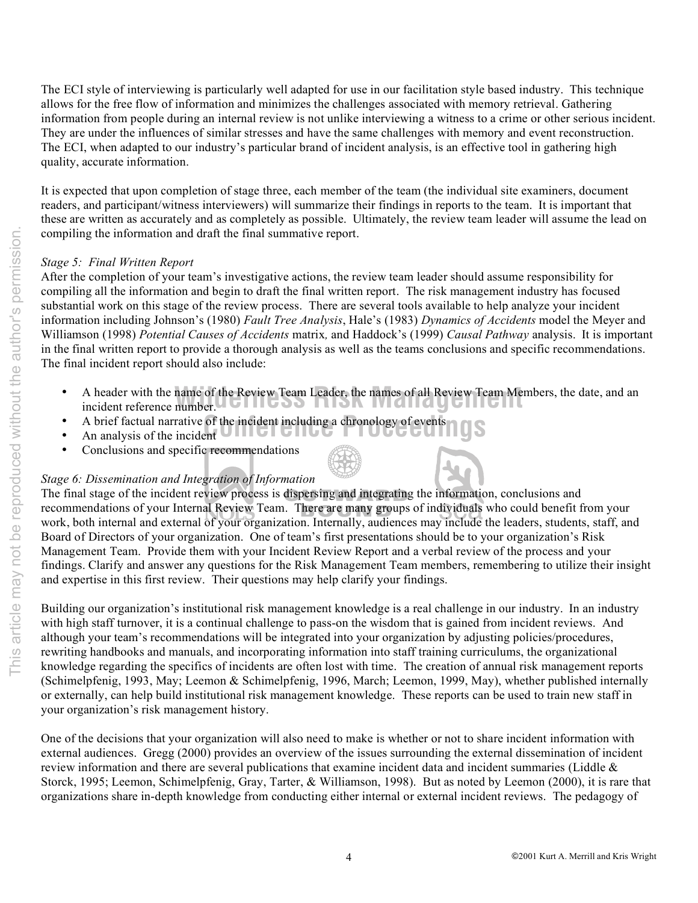The ECI style of interviewing is particularly well adapted for use in our facilitation style based industry. This technique allows for the free flow of information and minimizes the challenges associated with memory retrieval. Gathering information from people during an internal review is not unlike interviewing a witness to a crime or other serious incident. They are under the influences of similar stresses and have the same challenges with memory and event reconstruction. The ECI, when adapted to our industry's particular brand of incident analysis, is an effective tool in gathering high quality, accurate information.

It is expected that upon completion of stage three, each member of the team (the individual site examiners, document readers, and participant/witness interviewers) will summarize their findings in reports to the team. It is important that these are written as accurately and as completely as possible. Ultimately, the review team leader will assume the lead on compiling the information and draft the final summative report.

### *Stage 5: Final Written Report*

After the completion of your team's investigative actions, the review team leader should assume responsibility for compiling all the information and begin to draft the final written report. The risk management industry has focused substantial work on this stage of the review process. There are several tools available to help analyze your incident information including Johnson's (1980) *Fault Tree Analysis*, Hale's (1983) *Dynamics of Accidents* model the Meyer and Williamson (1998) *Potential Causes of Accidents* matrix*,* and Haddock's (1999) *Causal Pathway* analysis. It is important in the final written report to provide a thorough analysis as well as the teams conclusions and specific recommendations. The final incident report should also include:

- A header with the name of the Review Team Leader, the names of all Review Team Members, the date, and an incident reference number. incident reference number. JUIICOO MION IVIAIIAUU
- A brief factual narrative of the incident including a chronology of events a **Conference of the incident**
- An analysis of the incident  $\bigcup$   $\bigcup$   $\bigcup$   $\bigcup$
- Conclusions and specific recommendations

### *Stage 6: Dissemination and Integration of Information*

The final stage of the incident review process is dispersing and integrating the information, conclusions and recommendations of your Internal Review Team. There are many groups of individuals who could benefit from your work, both internal and external of your organization. Internally, audiences may include the leaders, students, staff, and Board of Directors of your organization. One of team's first presentations should be to your organization's Risk Management Team. Provide them with your Incident Review Report and a verbal review of the process and your findings. Clarify and answer any questions for the Risk Management Team members, remembering to utilize their insight and expertise in this first review. Their questions may help clarify your findings.

Building our organization's institutional risk management knowledge is a real challenge in our industry. In an industry with high staff turnover, it is a continual challenge to pass-on the wisdom that is gained from incident reviews. And although your team's recommendations will be integrated into your organization by adjusting policies/procedures, rewriting handbooks and manuals, and incorporating information into staff training curriculums, the organizational knowledge regarding the specifics of incidents are often lost with time. The creation of annual risk management reports (Schimelpfenig, 1993, May; Leemon & Schimelpfenig, 1996, March; Leemon, 1999, May), whether published internally or externally, can help build institutional risk management knowledge. These reports can be used to train new staff in your organization's risk management history.

One of the decisions that your organization will also need to make is whether or not to share incident information with external audiences. Gregg (2000) provides an overview of the issues surrounding the external dissemination of incident review information and there are several publications that examine incident data and incident summaries (Liddle & Storck, 1995; Leemon, Schimelpfenig, Gray, Tarter, & Williamson, 1998). But as noted by Leemon (2000), it is rare that organizations share in-depth knowledge from conducting either internal or external incident reviews. The pedagogy of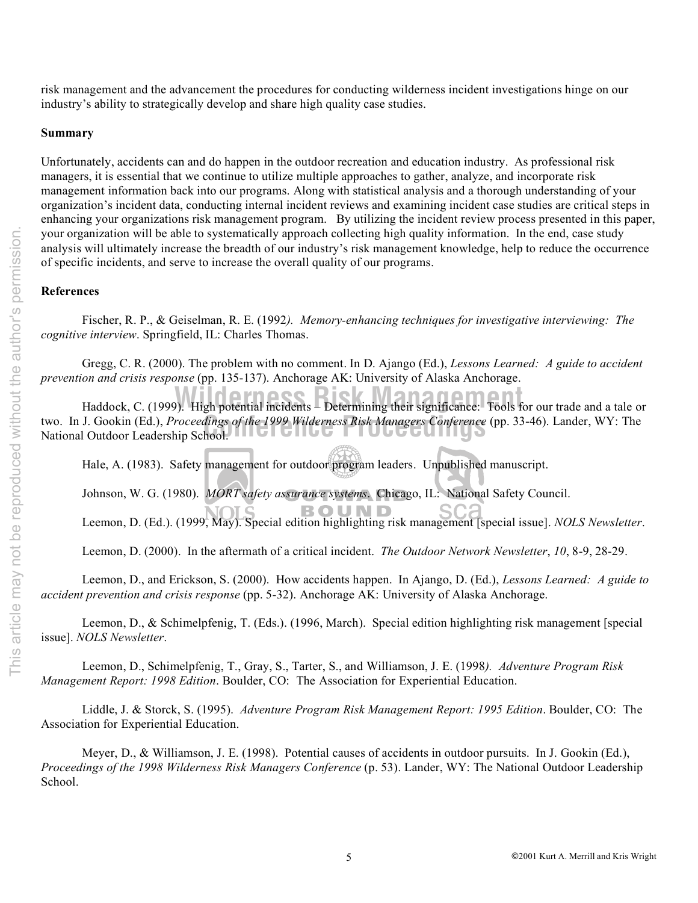risk management and the advancement the procedures for conducting wilderness incident investigations hinge on our industry's ability to strategically develop and share high quality case studies.

### **Summary**

Unfortunately, accidents can and do happen in the outdoor recreation and education industry. As professional risk managers, it is essential that we continue to utilize multiple approaches to gather, analyze, and incorporate risk management information back into our programs. Along with statistical analysis and a thorough understanding of your organization's incident data, conducting internal incident reviews and examining incident case studies are critical steps in enhancing your organizations risk management program. By utilizing the incident review process presented in this paper, your organization will be able to systematically approach collecting high quality information. In the end, case study analysis will ultimately increase the breadth of our industry's risk management knowledge, help to reduce the occurrence of specific incidents, and serve to increase the overall quality of our programs.

### **References**

Fischer, R. P., & Geiselman, R. E. (1992*). Memory-enhancing techniques for investigative interviewing: The cognitive interview*. Springfield, IL: Charles Thomas.

Gregg, C. R. (2000). The problem with no comment. In D. Ajango (Ed.), *Lessons Learned: A guide to accident prevention and crisis response* (pp. 135-137). Anchorage AK: University of Alaska Anchorage.

two. In J. Gookin (Ed.), *Proceedings of the 1999 Wilderness Risk Managers Conference*<br>National Outdoor Leadership School. **Haddock, C. (1999).** High potential incidents – Determining their significance: Tools for our trade and a tale or two. In J. Gookin (Ed.), *Proceedings of the 1999 Wilderness Risk Managers Conference* (pp. 33-46). Lander, WY: The

Hale, A. (1983). Safety management for outdoor program leaders. Unpublished manuscript.

Johnson, W. G. (1980). *MORT safety assurance systems*. Chicago, IL: National Safety Council.

Leemon, D. (Ed.). (1999, May). Special edition highlighting risk management [special issue]. *NOLS Newsletter*.

Leemon, D. (2000). In the aftermath of a critical incident. *The Outdoor Network Newsletter*, *10*, 8-9, 28-29.

Leemon, D., and Erickson, S. (2000). How accidents happen. In Ajango, D. (Ed.), *Lessons Learned: A guide to accident prevention and crisis response* (pp. 5-32). Anchorage AK: University of Alaska Anchorage.

Leemon, D., & Schimelpfenig, T. (Eds.). (1996, March). Special edition highlighting risk management [special issue]. *NOLS Newsletter*.

Leemon, D., Schimelpfenig, T., Gray, S., Tarter, S., and Williamson, J. E. (1998*). Adventure Program Risk Management Report: 1998 Edition*. Boulder, CO: The Association for Experiential Education.

Liddle, J. & Storck, S. (1995). *Adventure Program Risk Management Report: 1995 Edition*. Boulder, CO: The Association for Experiential Education.

Meyer, D., & Williamson, J. E. (1998). Potential causes of accidents in outdoor pursuits.In J. Gookin (Ed.), *Proceedings of the 1998 Wilderness Risk Managers Conference* (p. 53). Lander, WY: The National Outdoor Leadership School.